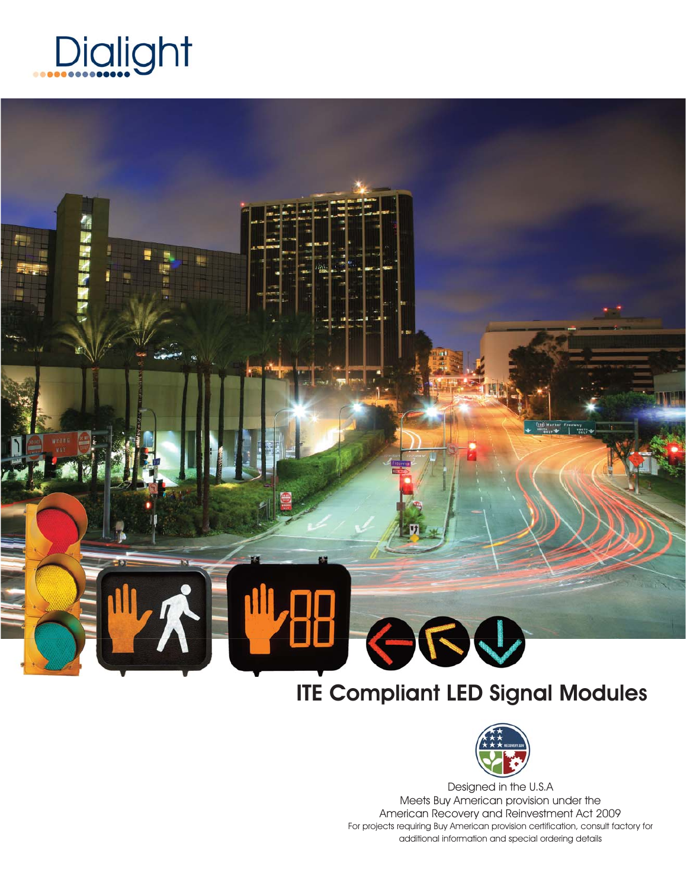

# RV

# ITE Compliant LED Signal Modules



Designed in the U.S.A Meets Buy American provision under the American Recovery and Reinvestment Act 2009 For projects requiring Buy American provision certification, consult factory for additional information and special ordering details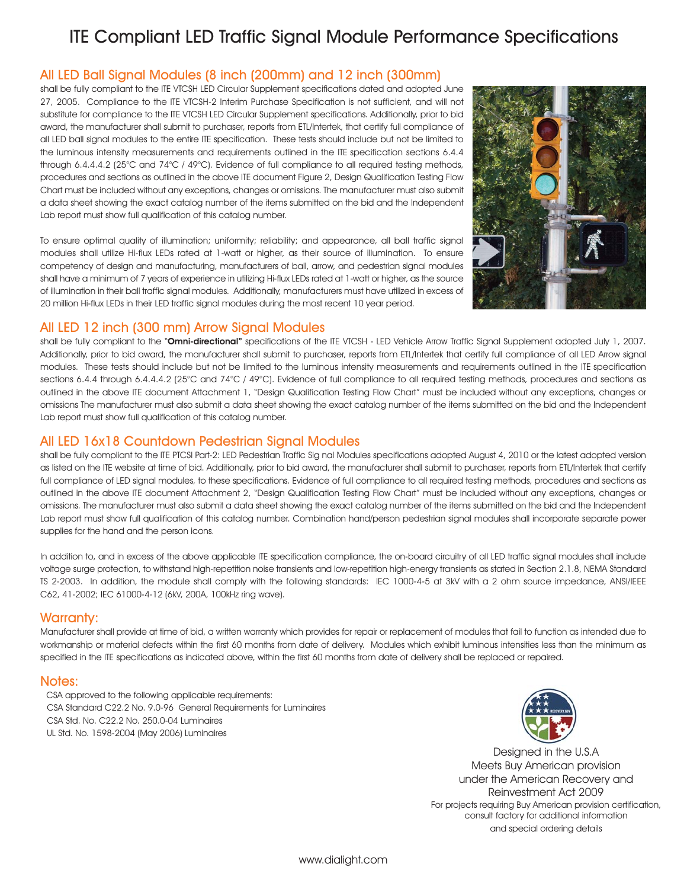# ITE Compliant LED Traffic Signal Module Performance Specifications

### All LED Ball Signal Modules (8 inch (200mm) and 12 inch (300mm)

shall be fully compliant to the ITE VTCSH LED Circular Supplement specifications dated and adopted June 27, 2005. Compliance to the ITE VTCSH-2 Interim Purchase Specification is not sufficient, and will not substitute for compliance to the ITE VTCSH LED Circular Supplement specifications. Additionally, prior to bid award, the manufacturer shall submit to purchaser, reports from ETL/Intertek, that certify full compliance of all LED ball signal modules to the entire ITE specification. These tests should include but not be limited to the luminous intensity measurements and requirements outlined in the ITE specification sections 6.4.4 through 6.4.4.4.2 (25°C and 74°C / 49°C). Evidence of full compliance to all required testing methods, procedures and sections as outlined in the above ITE document Figure 2, Design Qualification Testing Flow Chart must be included without any exceptions, changes or omissions. The manufacturer must also submit a data sheet showing the exact catalog number of the items submitted on the bid and the Independent Lab report must show full qualification of this catalog number.

To ensure optimal quality of illumination; uniformity; reliability; and appearance, all ball traffic signal modules shall utilize Hi-flux LEDs rated at 1-watt or higher, as their source of illumination. To ensure competency of design and manufacturing, manufacturers of ball, arrow, and pedestrian signal modules shall have a minimum of 7 years of experience in utilizing Hi-flux LEDs rated at 1-watt or higher, as the source of illumination in their ball traffic signal modules. Additionally, manufacturers must have utilized in excess of 20 million Hi-flux LEDs in their LED traffic signal modules during the most recent 10 year period.



### All LED 12 inch (300 mm) Arrow Signal Modules

shall be fully compliant to the "Omni-directional" specifications of the ITE VTCSH - LED Vehicle Arrow Traffic Signal Supplement adopted July 1, 2007. Additionally, prior to bid award, the manufacturer shall submit to purchaser, reports from ETL/Intertek that certify full compliance of all LED Arrow signal modules. These tests should include but not be limited to the luminous intensity measurements and requirements outlined in the ITE specification sections 6.4.4 through 6.4.4.4.2 (25°C and 74°C / 49°C). Evidence of full compliance to all required testing methods, procedures and sections as outlined in the above ITE document Attachment 1, "Design Qualification Testing Flow Chart" must be included without any exceptions, changes or omissions The manufacturer must also submit a data sheet showing the exact catalog number of the items submitted on the bid and the Independent Lab report must show full qualification of this catalog number.

### All LED 16x18 Countdown Pedestrian Signal Modules

shall be fully compliant to the ITE PTCSI Part-2: LED Pedestrian Traffic Sig nal Modules specifications adopted August 4, 2010 or the latest adopted version as listed on the ITE website at time of bid. Additionally, prior to bid award, the manufacturer shall submit to purchaser, reports from ETL/Intertek that certify full compliance of LED signal modules, to these specifications. Evidence of full compliance to all required testing methods, procedures and sections as outlined in the above ITE document Attachment 2, "Design Qualification Testing Flow Chart" must be included without any exceptions, changes or omissions. The manufacturer must also submit a data sheet showing the exact catalog number of the items submitted on the bid and the Independent Lab report must show full qualification of this catalog number. Combination hand/person pedestrian signal modules shall incorporate separate power supplies for the hand and the person icons.

In addition to, and in excess of the above applicable ITE specification compliance, the on-board circuitry of all LED traffic signal modules shall include voltage surge protection, to withstand high-repetition noise transients and low-repetition high-energy transients as stated in Section 2.1.8, NEMA Standard TS 2-2003. In addition, the module shall comply with the following standards: IEC 1000-4-5 at 3kV with a 2 ohm source impedance, ANSI/IEEE C62, 41-2002; IEC 61000-4-12 (6kV, 200A, 100kHz ring wave).

### Warranty:

Manufacturer shall provide at time of bid, a written warranty which provides for repair or replacement of modules that fail to function as intended due to workmanship or material defects within the first 60 months from date of delivery. Modules which exhibit luminous intensities less than the minimum as specified in the ITE specifications as indicated above, within the first 60 months from date of delivery shall be replaced or repaired.

### Notes:

CSA approved to the following applicable requirements: CSA Standard C22.2 No. 9.0-96 General Requirements for Luminaires CSA Std. No. C22.2 No. 250.0-04 Luminaires UL Std. No. 1598-2004 (May 2006) Luminaires



Designed in the U.S.A Meets Buy American provision under the American Recovery and Reinvestment Act 2009 For projects requiring Buy American provision certification, consult factory for additional information and special ordering details

www.dialight.com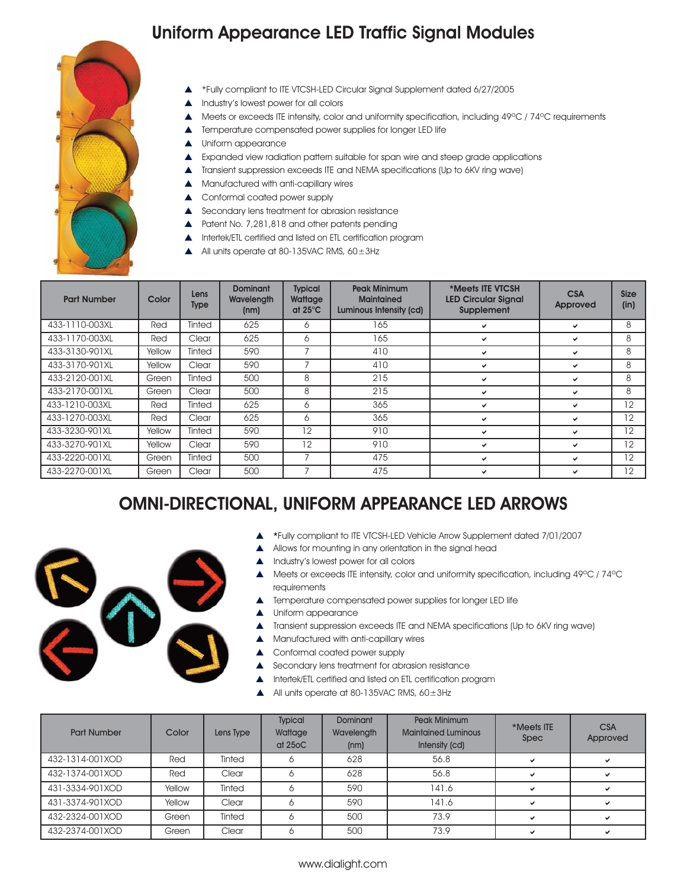# Uniform Appearance LED Traffic Signal Modules



- p \*Fully compliant to ITE VTCSH-LED Circular Signal Supplement dated 6/27/2005
- Industry's lowest power for all colors
- Meets or exceeds ITE intensity, color and uniformity specification, including 49°C / 74°C requirements
- Temperature compensated power supplies for longer LED life
- **A** Uniform appearance
- Expanded view radiation pattern suitable for span wire and steep grade applications
- Transient suppression exceeds ITE and NEMA specifications (Up to 6KV ring wave)
- p Manufactured with anti-capillary wires
- ▲ Conformal coated power supply
- $\triangle$  Secondary lens treatment for abrasion resistance
- ▲ Patent No. 7,281,818 and other patents pending
- **A** Intertek/ETL certified and listed on ETL certification program
- All units operate at 80-135VAC RMS,  $60\pm3$ Hz

| <b>Part Number</b> | Color  | Lens<br><b>Type</b> | <b>Dominant</b><br>Wavelength<br>(nm) | <b>Typical</b><br>Wattage<br>at $25^{\circ}$ C | <b>Peak Minimum</b><br><b>Maintained</b><br>Luminous Intensity (cd) | *Meets ITE VTCSH<br><b>LED Circular Signal</b><br>Supplement | <b>CSA</b><br>Approved | <b>Size</b><br>(in) |
|--------------------|--------|---------------------|---------------------------------------|------------------------------------------------|---------------------------------------------------------------------|--------------------------------------------------------------|------------------------|---------------------|
| 433-1110-003XL     | Red    | Tinted              | 625                                   | 6                                              | 165                                                                 | ◡                                                            | ✓                      | 8                   |
| 433-1170-003XL     | Red    | Clear               | 625                                   | 6                                              | 165                                                                 | ◡                                                            | ✓                      | 8                   |
| 433-3130-901XL     | Yellow | Tinted              | 590                                   |                                                | 410                                                                 | ✓                                                            | ✓                      | 8                   |
| 433-3170-901XL     | Yellow | Clear               | 590                                   |                                                | 410                                                                 | ◡                                                            | ✔                      | 8                   |
| 433-2120-001XL     | Green  | Tinted              | 500                                   | 8                                              | 215                                                                 |                                                              | ✔                      | 8                   |
| 433-2170-001XL     | Green  | Clear               | 500                                   | 8                                              | 215                                                                 |                                                              | ✔                      | 8                   |
| 433-1210-003XL     | Red    | Tinted              | 625                                   | Ô                                              | 365                                                                 |                                                              | ✓                      | 12                  |
| 433-1270-003XL     | Red    | Clear               | 625                                   | 6                                              | 365                                                                 | ◡                                                            | ✔                      | 12                  |
| 433-3230-901XL     | Yellow | <b>Tinted</b>       | 590                                   | 12                                             | 910                                                                 |                                                              | ◡                      | 12                  |
| 433-3270-901XL     | Yellow | Clear               | 590                                   | 12                                             | 910                                                                 | ◡                                                            | ✓                      | 12                  |
| 433-2220-001XL     | Green  | Tinted              | 500                                   | 7                                              | 475                                                                 | ◡                                                            | ✓                      | 12                  |
| 433-2270-001XL     | Green  | Clear               | 500                                   |                                                | 475                                                                 |                                                              | ✓                      | 12                  |

# OMNI-DIRECTIONAL, UNIFORM APPEARANCE LED ARROWS



- p \*Fully compliant to ITE VTCSH-LED Vehicle Arrow Supplement dated 7/01/2007
- Allows for mounting in any orientation in the signal head
- p Industry's lowest power for all colors
- p Meets or exceeds ITE intensity, color and uniformity specification, including 49ºC / 74ºC requirements
- Temperature compensated power supplies for longer LED life
- Uniform appearance
- p Transient suppression exceeds ITE and NEMA specifications (Up to 6KV ring wave)
- p Manufactured with anti-capillary wires
- ▲ Conformal coated power supply
- Secondary lens treatment for abrasion resistance
- **A** Intertek/ETL certified and listed on ETL certification program
- All units operate at 80-135VAC RMS,  $60\pm3$ Hz

| <b>Part Number</b> | Color  | Lens Type | <b>Typical</b><br>Wattage<br>at 250C | <b>Dominant</b><br>Wavelength<br>(nm) | Peak Minimum<br><b>Maintained Luminous</b><br>Intensity (cd) | *Meets ITE<br>Spec | <b>CSA</b><br>Approved |
|--------------------|--------|-----------|--------------------------------------|---------------------------------------|--------------------------------------------------------------|--------------------|------------------------|
| 432-1314-001XOD    | Red    | Tinted    |                                      | 628                                   | 56.8                                                         | $\checkmark$       |                        |
| 432-1374-001XOD    | Red    | Clear     |                                      | 628                                   | 56.8                                                         | $\checkmark$       |                        |
| 431-3334-901XOD    | Yellow | Tinted    |                                      | 590                                   | 141.6                                                        |                    |                        |
| 431-3374-901XOD    | Yellow | Clear     |                                      | 590                                   | 141.6                                                        | $\checkmark$       |                        |
| 432-2324-001XOD    | Green  | Tinted    |                                      | 500                                   | 73.9                                                         | v                  |                        |
| 432-2374-001XOD    | Green  | Clear     |                                      | 500                                   | 73.9                                                         |                    |                        |